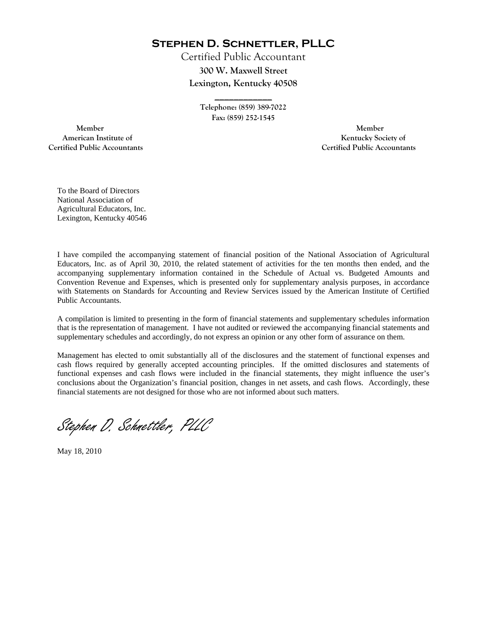**Stephen D. Schnettler, PLLC**

Certified Public Accountant **300 W. Maxwell Street Lexington, Kentucky 40508** 

> **Telephone: (859) 389-7022 Fax: (859) 252-1545**

**\_\_\_\_\_\_\_\_\_\_\_\_** 

 **Member Member Certified Public Accountants Certified Public Accountants** 

American Institute of **Kentucky Society of** 

To the Board of Directors National Association of Agricultural Educators, Inc. Lexington, Kentucky 40546

I have compiled the accompanying statement of financial position of the National Association of Agricultural Educators, Inc. as of April 30, 2010, the related statement of activities for the ten months then ended, and the accompanying supplementary information contained in the Schedule of Actual vs. Budgeted Amounts and Convention Revenue and Expenses, which is presented only for supplementary analysis purposes, in accordance with Statements on Standards for Accounting and Review Services issued by the American Institute of Certified Public Accountants.

A compilation is limited to presenting in the form of financial statements and supplementary schedules information that is the representation of management. I have not audited or reviewed the accompanying financial statements and supplementary schedules and accordingly, do not express an opinion or any other form of assurance on them.

Management has elected to omit substantially all of the disclosures and the statement of functional expenses and cash flows required by generally accepted accounting principles. If the omitted disclosures and statements of functional expenses and cash flows were included in the financial statements, they might influence the user's conclusions about the Organization's financial position, changes in net assets, and cash flows. Accordingly, these financial statements are not designed for those who are not informed about such matters.

Stephen D. Schnettler, PLLC

May 18, 2010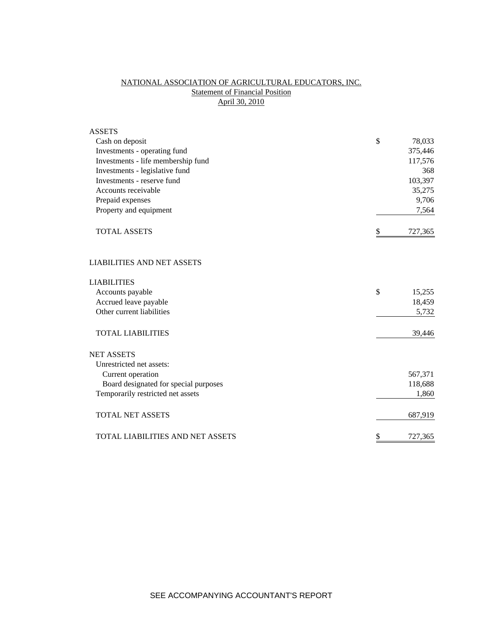## NATIONAL ASSOCIATION OF AGRICULTURAL EDUCATORS, INC. **Statement of Financial Position** April 30, 2010

| <b>ASSETS</b>                         |               |
|---------------------------------------|---------------|
| Cash on deposit                       | \$<br>78,033  |
| Investments - operating fund          | 375,446       |
| Investments - life membership fund    | 117,576       |
| Investments - legislative fund        | 368           |
| Investments - reserve fund            | 103,397       |
| Accounts receivable                   | 35,275        |
| Prepaid expenses                      | 9,706         |
| Property and equipment                | 7,564         |
| <b>TOTAL ASSETS</b>                   | \$<br>727,365 |
| <b>LIABILITIES AND NET ASSETS</b>     |               |
| <b>LIABILITIES</b>                    |               |
| Accounts payable                      | \$<br>15,255  |
| Accrued leave payable                 | 18,459        |
| Other current liabilities             | 5,732         |
| <b>TOTAL LIABILITIES</b>              | 39,446        |
| <b>NET ASSETS</b>                     |               |
| Unrestricted net assets:              |               |
| Current operation                     | 567,371       |
| Board designated for special purposes | 118,688       |
| Temporarily restricted net assets     | 1,860         |
| <b>TOTAL NET ASSETS</b>               | 687,919       |
| TOTAL LIABILITIES AND NET ASSETS      | \$<br>727,365 |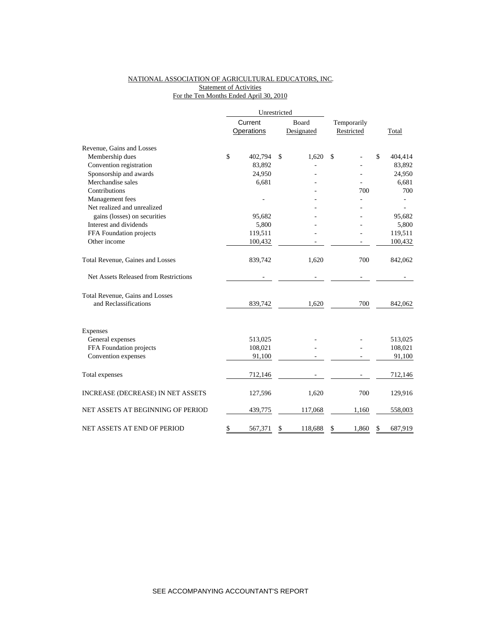## NATIONAL ASSOCIATION OF AGRICULTURAL EDUCATORS, INC. **Statement of Activities** For the Ten Months Ended April 30, 2010

|                                       |         | Unrestricted      |    |            |            |             |    |         |  |
|---------------------------------------|---------|-------------------|----|------------|------------|-------------|----|---------|--|
|                                       | Current |                   |    | Board      |            | Temporarily |    |         |  |
|                                       |         | <b>Operations</b> |    | Designated | Restricted |             |    | Total   |  |
| Revenue, Gains and Losses             |         |                   |    |            |            |             |    |         |  |
| Membership dues                       | \$      | 402,794           | \$ | 1,620      | \$         |             | \$ | 404,414 |  |
| Convention registration               |         | 83,892            |    |            |            |             |    | 83,892  |  |
| Sponsorship and awards                |         | 24,950            |    |            |            |             |    | 24,950  |  |
| Merchandise sales                     |         | 6,681             |    |            |            |             |    | 6,681   |  |
| Contributions                         |         |                   |    |            |            | 700         |    | 700     |  |
| Management fees                       |         |                   |    |            |            |             |    |         |  |
| Net realized and unrealized           |         |                   |    |            |            |             |    |         |  |
| gains (losses) on securities          |         | 95,682            |    |            |            |             |    | 95,682  |  |
| Interest and dividends                |         | 5,800             |    |            |            |             |    | 5,800   |  |
| FFA Foundation projects               |         | 119,511           |    |            |            |             |    | 119,511 |  |
| Other income                          |         | 100,432           |    |            |            |             |    | 100,432 |  |
| Total Revenue, Gaines and Losses      |         | 839,742           |    | 1,620      |            | 700         |    | 842,062 |  |
| Net Assets Released from Restrictions |         |                   |    |            |            |             |    |         |  |
| Total Revenue, Gains and Losses       |         |                   |    |            |            |             |    |         |  |
| and Reclassifications                 |         | 839,742           |    | 1,620      |            | 700         |    | 842,062 |  |
| Expenses                              |         |                   |    |            |            |             |    |         |  |
| General expenses                      |         | 513,025           |    |            |            |             |    | 513,025 |  |
| FFA Foundation projects               |         | 108,021           |    |            |            |             |    | 108,021 |  |
| Convention expenses                   |         | 91,100            |    |            |            |             |    | 91,100  |  |
|                                       |         |                   |    |            |            |             |    |         |  |
| Total expenses                        |         | 712,146           |    |            |            |             |    | 712,146 |  |
| INCREASE (DECREASE) IN NET ASSETS     |         | 127,596           |    | 1,620      |            | 700         |    | 129,916 |  |
| NET ASSETS AT BEGINNING OF PERIOD     |         | 439,775           |    | 117,068    |            | 1,160       |    | 558,003 |  |
| NET ASSETS AT END OF PERIOD           | \$      | 567,371           | \$ | 118,688    | \$         | 1,860       | \$ | 687,919 |  |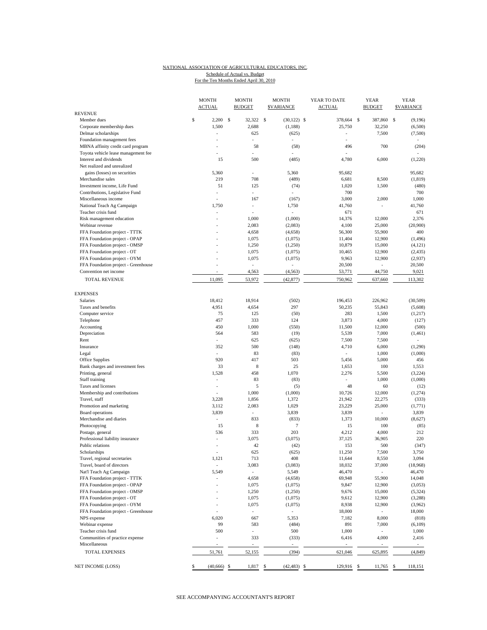## NATIONAL ASSOCIATION OF AGRICULTURAL EDUCATORS, INC. For the Ten Months Ended April 30, 2010 Schedule of Actual vs. Budget

|                                                              | <b>MONTH</b><br><b>ACTUAL</b> | <b>MONTH</b><br><b>BUDGET</b> |              | <b>MONTH</b><br><b>SVARIANCE</b> | YEAR TO DATE<br><b>ACTUAL</b> |   | <b>YEAR</b><br><b>BUDGET</b> | <b>YEAR</b><br><b><i>SVARIANCE</i></b> |
|--------------------------------------------------------------|-------------------------------|-------------------------------|--------------|----------------------------------|-------------------------------|---|------------------------------|----------------------------------------|
| <b>REVENUE</b>                                               |                               |                               |              |                                  |                               |   |                              |                                        |
| Member dues                                                  | \$<br>2,200                   | \$<br>32,322                  | $\mathbb{S}$ | $(30,122)$ \$                    | 378,664                       | s | 387,860                      | \$<br>(9,196)                          |
| Corporate membership dues                                    | 1,500                         | 2,688                         |              | (1,188)                          | 25,750                        |   | 32,250                       | (6,500)                                |
| Delmar scholarships                                          | ÷,                            | 625                           |              | (625)                            | ٠                             |   | 7,500                        | (7,500)                                |
| Foundation management fees                                   |                               |                               |              |                                  |                               |   |                              |                                        |
| MBNA affinity credit card program                            | $\overline{a}$                | 58                            |              | (58)                             | 496                           |   | 700                          | (204)                                  |
| Toyota vehicle lease management fee                          |                               |                               |              |                                  |                               |   |                              |                                        |
| Interest and dividends                                       | 15                            | 500                           |              | (485)                            | 4,780                         |   | 6,000                        | (1,220)                                |
| Net realized and unrealized                                  |                               |                               |              |                                  |                               |   |                              |                                        |
| gains (losses) on securities                                 | 5,360                         |                               |              | 5,360                            | 95,682                        |   |                              | 95,682                                 |
| Merchandise sales                                            | 219                           | 708                           |              | (489)                            | 6,681                         |   | 8,500                        | (1, 819)                               |
| Investment income, Life Fund                                 | 51                            | 125                           |              | (74)                             | 1,020                         |   | 1,500                        | (480)                                  |
| Contributions, Legislative Fund                              | ٠                             | ٠                             |              |                                  | 700                           |   |                              | 700                                    |
| Miscellaneous income                                         |                               | 167<br>÷,                     |              | (167)                            | 3,000                         |   | 2,000                        | 1,000<br>41.760                        |
| National Teach Ag Campaign<br>Teacher crisis fund            | 1,750<br>$\overline{a}$       |                               |              | 1,750<br>÷.                      | 41,760<br>671                 |   |                              | 671                                    |
|                                                              | ÷                             |                               |              | (1,000)                          |                               |   |                              | 2,376                                  |
| Risk management education<br>Webinar revenue                 |                               | 1,000<br>2,083                |              |                                  | 14,376<br>4,100               |   | 12,000<br>25,000             | (20,900)                               |
| FFA Foundation project - TTTK                                | ä,                            | 4,658                         |              | (2,083)                          | 56,300                        |   | 55,900                       | 400                                    |
|                                                              |                               | 1,075                         |              | (4,658)                          | 11,404                        |   | 12,900                       | (1, 496)                               |
| FFA Foundation project - OPAP                                | ÷                             | 1,250                         |              | (1,075)                          | 10,879                        |   | 15,000                       | (4, 121)                               |
| FFA Foundation project - OMSP<br>FFA Foundation project - OT | l,                            | 1,075                         |              | (1,250)                          | 10,465                        |   | 12,900                       | (2, 435)                               |
|                                                              | $\overline{a}$                |                               |              | (1,075)                          |                               |   |                              |                                        |
| FFA Foundation project - OYM                                 |                               | 1,075<br>L.                   |              | (1,075)                          | 9,963                         |   | 12,900<br>L,                 | (2,937)                                |
| FFA Foundation project - Greenhouse<br>Convention net income | ÷,                            |                               |              |                                  | 20,500                        |   |                              | 20,500                                 |
|                                                              |                               | 4,563                         |              | (4, 563)                         | 53,771                        |   | 44,750                       | 9,021                                  |
| <b>TOTAL REVENUE</b>                                         | 11,095                        | 53,972                        |              | (42, 877)                        | 750,962                       |   | 637,660                      | 113,302                                |
| <b>EXPENSES</b>                                              |                               |                               |              |                                  |                               |   |                              |                                        |
| <b>Salaries</b>                                              | 18.412                        | 18.914                        |              | (502)                            | 196,453                       |   | 226,962                      | (30, 509)                              |
| Taxes and benefits                                           | 4,951                         | 4,654                         |              | 297                              | 50,235                        |   | 55,843                       | (5,608)                                |
| Computer service                                             | 75                            | 125                           |              | (50)                             | 283                           |   | 1,500                        | (1,217)                                |
| Telephone                                                    | 457                           | 333                           |              | 124                              | 3,873                         |   | 4,000                        | (127)                                  |
| Accounting                                                   | 450                           | 1,000                         |              | (550)                            | 11,500                        |   | 12,000                       | (500)                                  |
| Depreciation                                                 | 564                           | 583                           |              | (19)                             | 5,539                         |   | 7,000                        | (1, 461)                               |
| Rent                                                         |                               | 625                           |              | (625)                            | 7,500                         |   | 7,500                        |                                        |
| Insurance                                                    | 352                           | 500                           |              | (148)                            | 4,710                         |   | 6,000                        | (1,290)                                |
| Legal                                                        | $\overline{a}$                | 83                            |              | (83)                             | $\overline{a}$                |   | 1,000                        | (1,000)                                |
| Office Supplies                                              | 920                           | 417                           |              | 503                              | 5,456                         |   | 5,000                        | 456                                    |
| Bank charges and investment fees                             | 33                            | 8                             |              | 25                               | 1,653                         |   | 100                          | 1,553                                  |
| Printing, general                                            | 1,528                         | 458                           |              | 1,070                            | 2,276                         |   | 5,500                        | (3,224)                                |
| Staff training                                               | ÷,                            | 83                            |              | (83)                             | $\sim$                        |   | 1,000                        | (1,000)                                |
| Taxes and licenses                                           | $\overline{\phantom{a}}$      | 5                             |              | (5)                              | 48                            |   | 60                           | (12)                                   |
| Membership and contributions                                 |                               | 1,000                         |              | (1,000)                          | 10,726                        |   | 12,000                       | (1,274)                                |
| Travel, staff                                                | 3,228                         | 1,856                         |              | 1,372                            | 21,942                        |   | 22,275                       | (333)                                  |
| Promotion and marketing                                      | 3,112                         | 2,083                         |              | 1,029                            | 23,229                        |   | 25,000                       | (1,771)                                |
| Board operations                                             | 3,839                         | ÷                             |              | 3,839                            | 3,839                         |   | ÷,                           | 3,839                                  |
| Merchandise and diaries                                      | $\overline{a}$                | 833                           |              | (833)                            | 1,373                         |   | 10,000                       | (8,627)                                |
| Photocopying                                                 | 15                            | 8                             |              | $\tau$                           | 15                            |   | 100                          | (85)                                   |
| Postage, general                                             | 536                           | 333                           |              | 203                              | 4,212                         |   | 4,000                        | 212                                    |
| Professional liability insurance                             |                               | 3,075                         |              | (3,075)                          | 37,125                        |   | 36,905                       | 220                                    |
| Public relations                                             | ٠                             | 42                            |              | (42)                             | 153                           |   | 500                          | (347)                                  |
| Scholarships                                                 |                               | 625                           |              | (625)                            | 11,250                        |   | 7,500                        | 3,750                                  |
| Travel, regional secretaries                                 | 1,121                         | 713                           |              | 408                              | 11,644                        |   | 8,550                        | 3,094                                  |
| Travel, board of directors                                   | $\overline{\phantom{a}}$      | 3,083                         |              | (3,083)                          | 18,032                        |   | 37,000                       | (18,968)                               |
| Nat'l Teach Ag Campaign                                      | 5,549                         | $\overline{\phantom{a}}$      |              | 5,549                            | 46,470                        |   |                              | 46,470                                 |
| FFA Foundation project - TTTK                                |                               | 4,658                         |              | (4,658)                          | 69,948                        |   | 55,900                       | 14,048                                 |
| FFA Foundation project - OPAP                                | ٠                             | 1,075                         |              | (1,075)                          | 9,847                         |   | 12,900                       | (3,053)                                |
| FFA Foundation project - OMSP                                |                               | 1,250                         |              | (1,250)                          | 9,676                         |   | 15,000                       | (5,324)                                |
| FFA Foundation project - OT                                  | ٠                             | 1,075                         |              | (1,075)                          | 9,612                         |   | 12,900                       | (3,288)                                |
| FFA Foundation project - OYM                                 | L,                            | 1,075                         |              | (1,075)                          | 8,938                         |   | 12,900                       | (3,962)                                |
| FFA Foundation project - Greenhouse                          |                               |                               |              |                                  | 18,000                        |   |                              | 18,000                                 |
| NPS expense                                                  | 6,020                         | 667                           |              | 5,353                            | 7,182                         |   | 8,000                        | (818)                                  |
| Webinar expense                                              | 99                            | 583                           |              | (484)                            | 891                           |   | 7,000                        | (6,109)                                |
| Teacher crisis fund                                          | 500                           | $\blacksquare$                |              | 500                              | 1,000                         |   |                              | 1,000                                  |
| Communities of practice expense                              |                               | 333                           |              | (333)                            | 6,416                         |   | 4,000                        | 2,416                                  |
| Miscellaneous                                                |                               | ÷,                            |              | $\sim$                           |                               |   |                              | ÷.                                     |
| <b>TOTAL EXPENSES</b>                                        | 51,761                        | 52,155                        |              | (394)                            | 621,046                       |   | 625,895                      | (4, 849)                               |
| NET INCOME (LOSS)                                            | \$<br>$(40,666)$ \$           | 1,817 \$                      |              | $(42, 483)$ \$                   | 129,916 \$                    |   | 11,765 \$                    | 118,151                                |